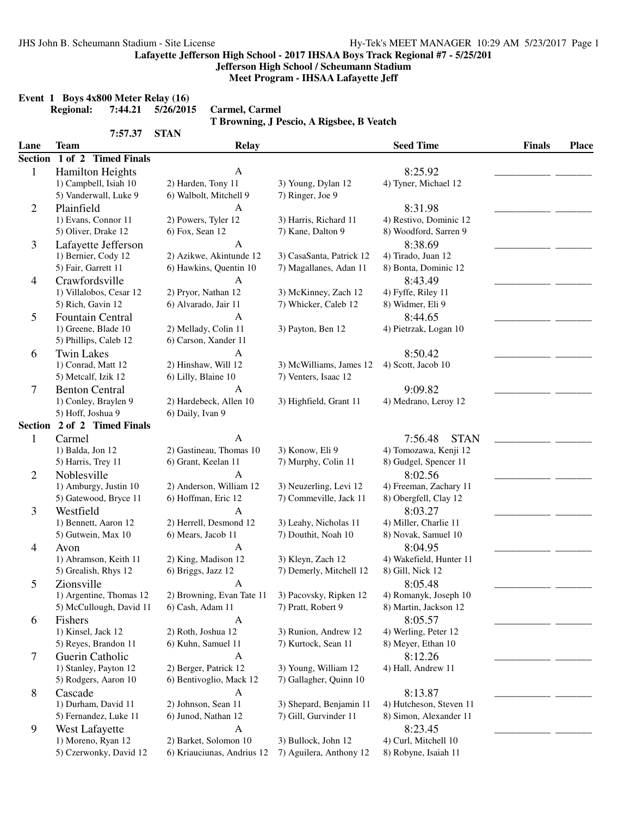**Jefferson High School / Scheumann Stadium**

**Meet Program - IHSAA Lafayette Jeff**

|                |                                                  |                            | T Browning, J Pescio, A Rigsbee, B Veatch |                         |               |       |
|----------------|--------------------------------------------------|----------------------------|-------------------------------------------|-------------------------|---------------|-------|
| Lane           | 7:57.37<br><b>Team</b>                           | <b>STAN</b>                |                                           | <b>Seed Time</b>        | <b>Finals</b> | Place |
|                | Section 1 of 2 Timed Finals                      | <b>Relay</b>               |                                           |                         |               |       |
|                |                                                  | A                          |                                           | 8:25.92                 |               |       |
| $\mathbf{1}$   | <b>Hamilton Heights</b><br>1) Campbell, Isiah 10 | 2) Harden, Tony 11         | 3) Young, Dylan 12                        | 4) Tyner, Michael 12    |               |       |
|                | 5) Vanderwall, Luke 9                            | 6) Walbolt, Mitchell 9     | 7) Ringer, Joe 9                          |                         |               |       |
|                | Plainfield                                       | A                          |                                           | 8:31.98                 |               |       |
| $\overline{2}$ | 1) Evans, Connor 11                              | 2) Powers, Tyler 12        | 3) Harris, Richard 11                     | 4) Restivo, Dominic 12  |               |       |
|                | 5) Oliver, Drake 12                              | 6) Fox, Sean 12            | 7) Kane, Dalton 9                         | 8) Woodford, Sarren 9   |               |       |
|                |                                                  |                            |                                           |                         |               |       |
| 3              | Lafayette Jefferson                              | A                          |                                           | 8:38.69                 |               |       |
|                | 1) Bernier, Cody 12                              | 2) Azikwe, Akintunde 12    | 3) CasaSanta, Patrick 12                  | 4) Tirado, Juan 12      |               |       |
|                | 5) Fair, Garrett 11                              | 6) Hawkins, Quentin 10     | 7) Magallanes, Adan 11                    | 8) Bonta, Dominic 12    |               |       |
| 4              | Crawfordsville                                   | A                          |                                           | 8:43.49                 |               |       |
|                | 1) Villalobos, Cesar 12                          | 2) Pryor, Nathan 12        | 3) McKinney, Zach 12                      | 4) Fyffe, Riley 11      |               |       |
|                | 5) Rich, Gavin 12                                | 6) Alvarado, Jair 11       | 7) Whicker, Caleb 12                      | 8) Widmer, Eli 9        |               |       |
| 5              | <b>Fountain Central</b>                          | A                          |                                           | 8:44.65                 |               |       |
|                | 1) Greene, Blade 10                              | 2) Mellady, Colin 11       | 3) Payton, Ben 12                         | 4) Pietrzak, Logan 10   |               |       |
|                | 5) Phillips, Caleb 12                            | 6) Carson, Xander 11       |                                           |                         |               |       |
| 6              | <b>Twin Lakes</b>                                | $\mathbf{A}$               |                                           | 8:50.42                 |               |       |
|                | 1) Conrad, Matt 12                               | 2) Hinshaw, Will 12        | 3) McWilliams, James 12                   | 4) Scott, Jacob 10      |               |       |
|                | 5) Metcalf, Izik 12                              | 6) Lilly, Blaine 10        | 7) Venters, Isaac 12                      |                         |               |       |
| 7              | <b>Benton Central</b>                            | A                          |                                           | 9:09.82                 |               |       |
|                | 1) Conley, Braylen 9                             | 2) Hardebeck, Allen 10     | 3) Highfield, Grant 11                    | 4) Medrano, Leroy 12    |               |       |
|                | 5) Hoff, Joshua 9                                | 6) Daily, Ivan 9           |                                           |                         |               |       |
|                | Section 2 of 2 Timed Finals                      |                            |                                           |                         |               |       |
| 1              | Carmel                                           | $\mathbf{A}$               |                                           | <b>STAN</b><br>7:56.48  |               |       |
|                | 1) Balda, Jon 12                                 | 2) Gastineau, Thomas 10    | 3) Konow, Eli 9                           | 4) Tomozawa, Kenji 12   |               |       |
|                | 5) Harris, Trey 11                               | 6) Grant, Keelan 11        | 7) Murphy, Colin 11                       | 8) Gudgel, Spencer 11   |               |       |
| 2              | Noblesville                                      | A                          |                                           | 8:02.56                 |               |       |
|                | 1) Amburgy, Justin 10                            | 2) Anderson, William 12    | 3) Neuzerling, Levi 12                    | 4) Freeman, Zachary 11  |               |       |
|                | 5) Gatewood, Bryce 11                            | 6) Hoffman, Eric 12        | 7) Commeville, Jack 11                    | 8) Obergfell, Clay 12   |               |       |
| 3              | Westfield                                        | A                          |                                           | 8:03.27                 |               |       |
|                | 1) Bennett, Aaron 12                             | 2) Herrell, Desmond 12     | 3) Leahy, Nicholas 11                     | 4) Miller, Charlie 11   |               |       |
|                | 5) Gutwein, Max 10                               | 6) Mears, Jacob 11         | 7) Douthit, Noah 10                       | 8) Novak, Samuel 10     |               |       |
| 4              | Avon                                             | A                          |                                           | 8:04.95                 |               |       |
|                | 1) Abramson, Keith 11                            | 2) King, Madison 12        | 3) Kleyn, Zach 12                         | 4) Wakefield, Hunter 11 |               |       |
|                | 5) Grealish, Rhys 12                             | 6) Briggs, Jazz 12         | 7) Demerly, Mitchell 12                   | 8) Gill, Nick 12        |               |       |
| 5              | Zionsville                                       | $\mathbf{A}$               |                                           | 8:05.48                 |               |       |
|                | 1) Argentine, Thomas 12                          | 2) Browning, Evan Tate 11  | 3) Pacovsky, Ripken 12                    | 4) Romanyk, Joseph 10   |               |       |
|                | 5) McCullough, David 11                          | 6) Cash, Adam 11           | 7) Pratt, Robert 9                        | 8) Martin, Jackson 12   |               |       |
| 6              | Fishers                                          | $\mathbf{A}$               |                                           | 8:05.57                 |               |       |
|                | 1) Kinsel, Jack 12                               | 2) Roth, Joshua 12         | 3) Runion, Andrew 12                      | 4) Werling, Peter 12    |               |       |
|                | 5) Reyes, Brandon 11                             | 6) Kuhn, Samuel 11         | 7) Kurtock, Sean 11                       | 8) Meyer, Ethan 10      |               |       |
|                | Guerin Catholic                                  | $\mathbf{A}$               |                                           | 8:12.26                 |               |       |
| 7              | 1) Stanley, Payton 12                            | 2) Berger, Patrick 12      | 3) Young, William 12                      | 4) Hall, Andrew 11      |               |       |
|                | 5) Rodgers, Aaron 10                             | 6) Bentivoglio, Mack 12    | 7) Gallagher, Quinn 10                    |                         |               |       |
|                |                                                  |                            |                                           |                         |               |       |
| 8              | Cascade                                          | $\mathbf{A}$               |                                           | 8:13.87                 |               |       |
|                | 1) Durham, David 11                              | 2) Johnson, Sean 11        | 3) Shepard, Benjamin 11                   | 4) Hutcheson, Steven 11 |               |       |
|                | 5) Fernandez, Luke 11                            | 6) Junod, Nathan 12        | 7) Gill, Gurvinder 11                     | 8) Simon, Alexander 11  |               |       |
| 9              | West Lafayette                                   | A                          |                                           | 8:23.45                 |               |       |
|                | 1) Moreno, Ryan 12                               | 2) Barket, Solomon 10      | 3) Bullock, John 12                       | 4) Curl, Mitchell 10    |               |       |
|                | 5) Czerwonky, David 12                           | 6) Kriauciunas, Andrius 12 | 7) Aguilera, Anthony 12                   | 8) Robyne, Isaiah 11    |               |       |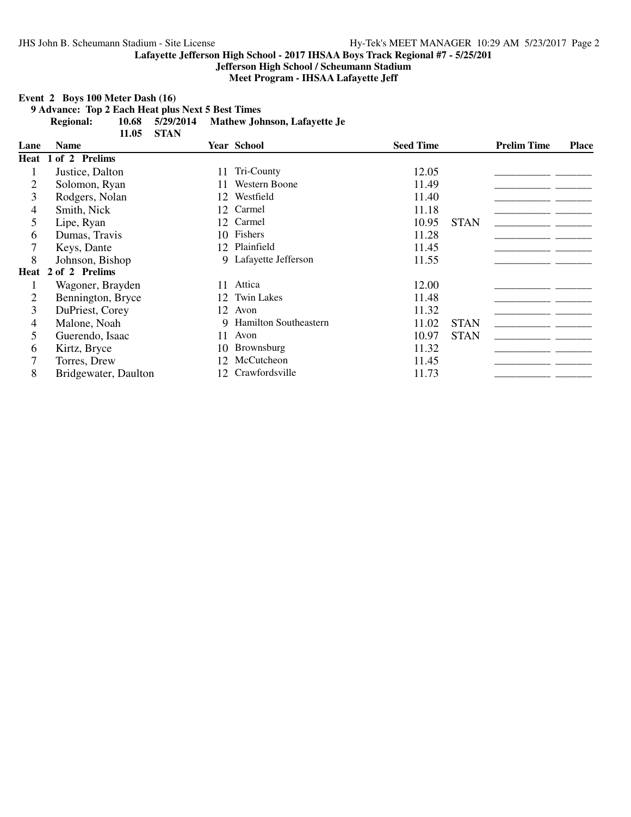**Jefferson High School / Scheumann Stadium**

**Meet Program - IHSAA Lafayette Jeff**

**Event 2 Boys 100 Meter Dash (16)**

**9 Advance: Top 2 Each Heat plus Next 5 Best Times**

**Regional: 10.68 5/29/2014 Mathew Johnson, Lafayette Je**

|      | 11.05                        | <b>STAN</b>     |                         |                  |             |                    |              |
|------|------------------------------|-----------------|-------------------------|------------------|-------------|--------------------|--------------|
| Lane | <b>Name</b>                  |                 | <b>Year School</b>      | <b>Seed Time</b> |             | <b>Prelim Time</b> | <b>Place</b> |
|      | Heat 1 of 2 Prelims          |                 |                         |                  |             |                    |              |
|      | Justice, Dalton              | 11              | Tri-County              | 12.05            |             |                    |              |
| 2    | Solomon, Ryan                |                 | <b>Western Boone</b>    | 11.49            |             |                    |              |
| 3    | Rodgers, Nolan               | 12              | Westfield               | 11.40            |             |                    |              |
| 4    | Smith, Nick                  | 12              | Carmel                  | 11.18            |             |                    |              |
| 5    | Lipe, Ryan                   |                 | 12 Carmel               | 10.95            | <b>STAN</b> |                    |              |
| 6    | Dumas, Travis                |                 | 10 Fishers              | 11.28            |             |                    |              |
|      | Keys, Dante                  |                 | 12 Plainfield           | 11.45            |             |                    |              |
| 8    | Johnson, Bishop              |                 | 9 Lafayette Jefferson   | 11.55            |             |                    |              |
| Heat | of 2 Prelims<br>$\mathbf{2}$ |                 |                         |                  |             |                    |              |
|      | Wagoner, Brayden             | 11              | Attica                  | 12.00            |             |                    |              |
| 2    | Bennington, Bryce            |                 | 12 Twin Lakes           | 11.48            |             |                    |              |
| 3    | DuPriest, Corey              | 12              | Avon                    | 11.32            |             |                    |              |
| 4    | Malone, Noah                 |                 | 9 Hamilton Southeastern | 11.02            | <b>STAN</b> |                    |              |
| 5    | Guerendo, Isaac              | 11              | Avon                    | 10.97            | <b>STAN</b> |                    |              |
| 6    | Kirtz, Bryce                 |                 | 10 Brownsburg           | 11.32            |             |                    |              |
|      | Torres, Drew                 | 12.             | McCutcheon              | 11.45            |             |                    |              |
| 8    | Bridgewater, Daulton         | 12 <sub>1</sub> | Crawfordsville          | 11.73            |             |                    |              |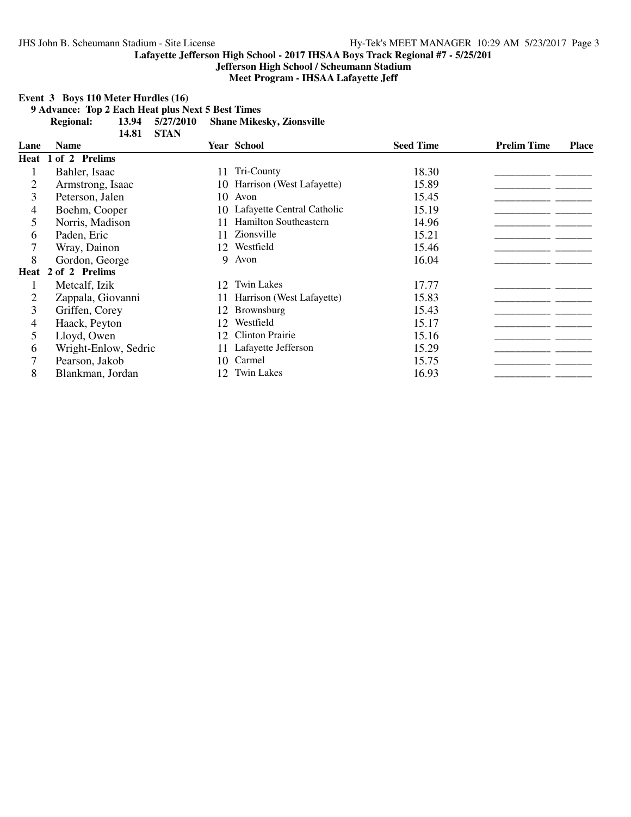**Jefferson High School / Scheumann Stadium**

**Meet Program - IHSAA Lafayette Jeff**

# **Event 3 Boys 110 Meter Hurdles (16)**

**9 Advance: Top 2 Each Heat plus Next 5 Best Times**

 $R$ **Shane Mikesky, Zionsville** 13.94 5/27/2010<br>14.81 STAN

|      | 170J.<br>UINT        |                 |                            |                  |                    |              |
|------|----------------------|-----------------|----------------------------|------------------|--------------------|--------------|
| Lane | <b>Name</b>          |                 | <b>Year School</b>         | <b>Seed Time</b> | <b>Prelim Time</b> | <b>Place</b> |
|      | Heat 1 of 2 Prelims  |                 |                            |                  |                    |              |
|      | Bahler, Isaac        | 11              | Tri-County                 | 18.30            |                    |              |
| 2    | Armstrong, Isaac     | 10-             | Harrison (West Lafayette)  | 15.89            |                    |              |
| 3    | Peterson, Jalen      | 10              | Avon                       | 15.45            |                    |              |
| 4    | Boehm, Cooper        | 10.             | Lafayette Central Catholic | 15.19            |                    |              |
| 5    | Norris, Madison      |                 | Hamilton Southeastern      | 14.96            |                    |              |
| 6    | Paden, Eric          |                 | Zionsville                 | 15.21            |                    |              |
|      | Wray, Dainon         | 12              | Westfield                  | 15.46            |                    |              |
| 8    | Gordon, George       | 9               | Avon                       | 16.04            |                    |              |
|      | Heat 2 of 2 Prelims  |                 |                            |                  |                    |              |
|      | Metcalf, Izik        | 12              | <b>Twin Lakes</b>          | 17.77            |                    |              |
|      | Zappala, Giovanni    |                 | Harrison (West Lafayette)  | 15.83            |                    |              |
| 3    | Griffen, Corey       | 12              | <b>Brownsburg</b>          | 15.43            |                    |              |
| 4    | Haack, Peyton        | 12              | Westfield                  | 15.17            |                    |              |
| 5    | Lloyd, Owen          | 12              | <b>Clinton Prairie</b>     | 15.16            |                    |              |
| 6    | Wright-Enlow, Sedric |                 | Lafayette Jefferson        | 15.29            |                    |              |
| 7    | Pearson, Jakob       | 10.             | Carmel                     | 15.75            |                    |              |
| 8    | Blankman, Jordan     | 12 <sup>2</sup> | <b>Twin Lakes</b>          | 16.93            |                    |              |
|      |                      |                 |                            |                  |                    |              |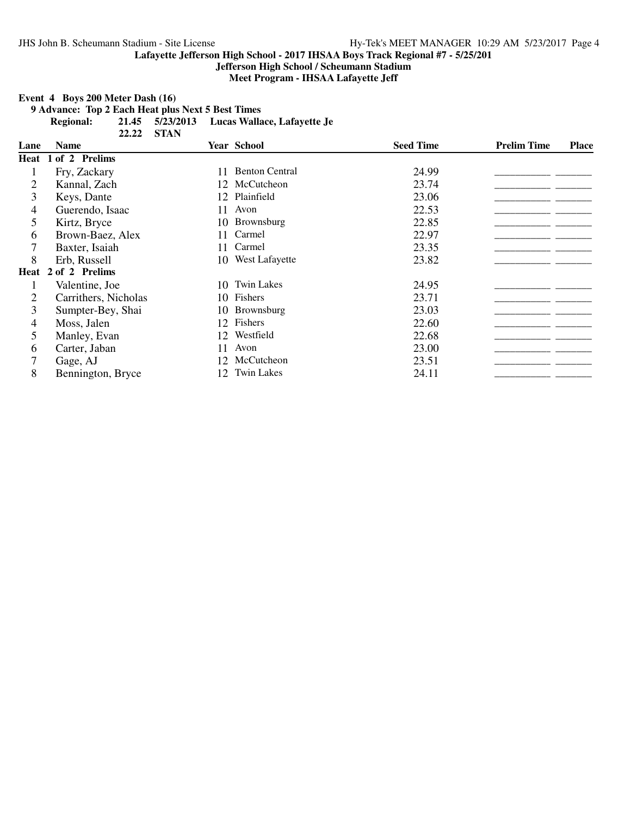**Jefferson High School / Scheumann Stadium**

**Meet Program - IHSAA Lafayette Jeff**

**Event 4 Boys 200 Meter Dash (16)**

**9 Advance: Top 2 Each Heat plus Next 5 Best Times**

**Regional: 21.45 5/23/2013 Lucas Wallace, Lafayette Je**

|                | 22.22                | <b>STAN</b> |                       |                  |                    |              |
|----------------|----------------------|-------------|-----------------------|------------------|--------------------|--------------|
| Lane           | <b>Name</b>          |             | <b>Year School</b>    | <b>Seed Time</b> | <b>Prelim Time</b> | <b>Place</b> |
|                | Heat 1 of 2 Prelims  |             |                       |                  |                    |              |
|                | Fry, Zackary         | 11          | <b>Benton Central</b> | 24.99            |                    |              |
| $\overline{2}$ | Kannal, Zach         | 12          | McCutcheon            | 23.74            |                    |              |
| 3              | Keys, Dante          | 12          | Plainfield            | 23.06            |                    |              |
| 4              | Guerendo, Isaac      | 11          | Avon                  | 22.53            |                    |              |
| 5              | Kirtz, Bryce         | 10-         | Brownsburg            | 22.85            |                    |              |
| 6              | Brown-Baez, Alex     | 11          | Carmel                | 22.97            |                    |              |
|                | Baxter, Isaiah       | 11.         | Carmel                | 23.35            |                    |              |
| 8              | Erb, Russell         |             | 10 West Lafayette     | 23.82            |                    |              |
|                | Heat 2 of 2 Prelims  |             |                       |                  |                    |              |
|                | Valentine, Joe       | 10          | <b>Twin Lakes</b>     | 24.95            |                    |              |
| $\overline{2}$ | Carrithers, Nicholas |             | 10 Fishers            | 23.71            |                    |              |
| 3              | Sumpter-Bey, Shai    |             | 10 Brownsburg         | 23.03            |                    |              |
| 4              | Moss, Jalen          | 12          | Fishers               | 22.60            |                    |              |
| 5              | Manley, Evan         | 12          | Westfield             | 22.68            |                    |              |
| 6              | Carter, Jaban        | 11          | Avon                  | 23.00            |                    |              |
| 7              | Gage, AJ             |             | McCutcheon            | 23.51            |                    |              |
| 8              | Bennington, Bryce    | 12          | <b>Twin Lakes</b>     | 24.11            |                    |              |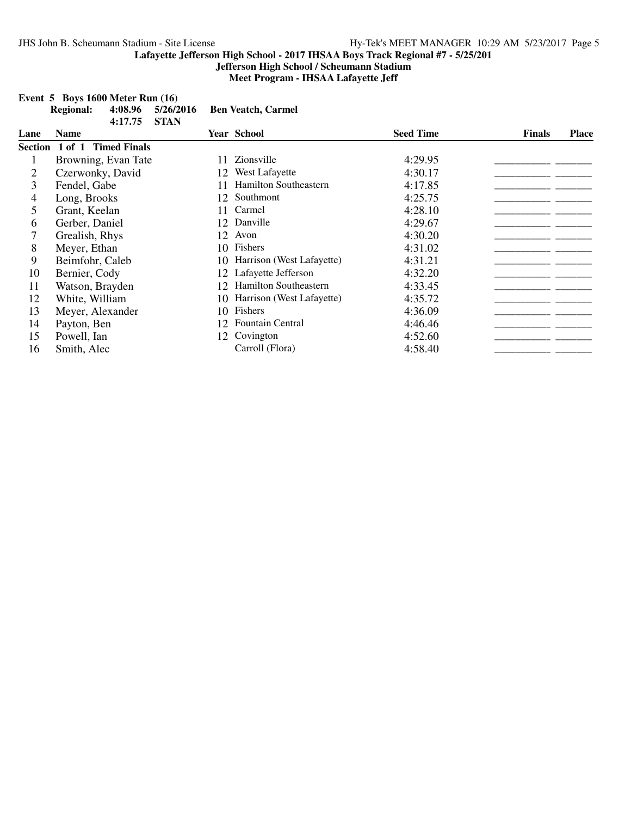**Event 5 Boys 1600 Meter Run (16)**

**Lafayette Jefferson High School - 2017 IHSAA Boys Track Regional #7 - 5/25/201**

**Jefferson High School / Scheumann Stadium Meet Program - IHSAA Lafayette Jeff**

|      | <b>Regional:</b>            | 4:08.96             | 5/26/2016   |    | <b>Ben Veatch, Carmel</b>    |                  |               |              |
|------|-----------------------------|---------------------|-------------|----|------------------------------|------------------|---------------|--------------|
| Lane | <b>Name</b>                 | 4:17.75             | <b>STAN</b> |    | <b>Year School</b>           | <b>Seed Time</b> | <b>Finals</b> | <b>Place</b> |
|      | Section 1 of 1 Timed Finals |                     |             |    |                              |                  |               |              |
|      |                             | Browning, Evan Tate |             | 11 | Zionsville                   | 4:29.95          |               |              |
| 2    | Czerwonky, David            |                     |             | 12 | West Lafayette               | 4:30.17          |               |              |
| 3    | Fendel, Gabe                |                     |             |    | <b>Hamilton Southeastern</b> | 4:17.85          |               |              |
| 4    | Long, Brooks                |                     |             | 12 | Southmont                    | 4:25.75          |               |              |
| 5    | Grant, Keelan               |                     |             | 11 | Carmel                       | 4:28.10          |               |              |
| 6    | Gerber, Daniel              |                     |             | 12 | Danville                     | 4:29.67          |               |              |
| 7    | Grealish, Rhys              |                     |             | 12 | Avon                         | 4:30.20          |               |              |
| 8    | Meyer, Ethan                |                     |             | 10 | Fishers                      | 4:31.02          |               |              |
| 9    | Beimfohr, Caleb             |                     |             | 10 | Harrison (West Lafayette)    | 4:31.21          |               |              |
| 10   | Bernier, Cody               |                     |             |    | Lafayette Jefferson          | 4:32.20          |               |              |
| 11   | Watson, Brayden             |                     |             | 12 | <b>Hamilton Southeastern</b> | 4:33.45          |               |              |
| 12   | White, William              |                     |             | 10 | Harrison (West Lafayette)    | 4:35.72          |               |              |
| 13   | Meyer, Alexander            |                     |             | 10 | Fishers                      | 4:36.09          |               |              |
| 14   | Payton, Ben                 |                     |             | 12 | <b>Fountain Central</b>      | 4:46.46          |               |              |
| 15   | Powell, Ian                 |                     |             | 12 | Covington                    | 4:52.60          |               |              |
| 16   | Smith, Alec                 |                     |             |    | Carroll (Flora)              | 4:58.40          |               |              |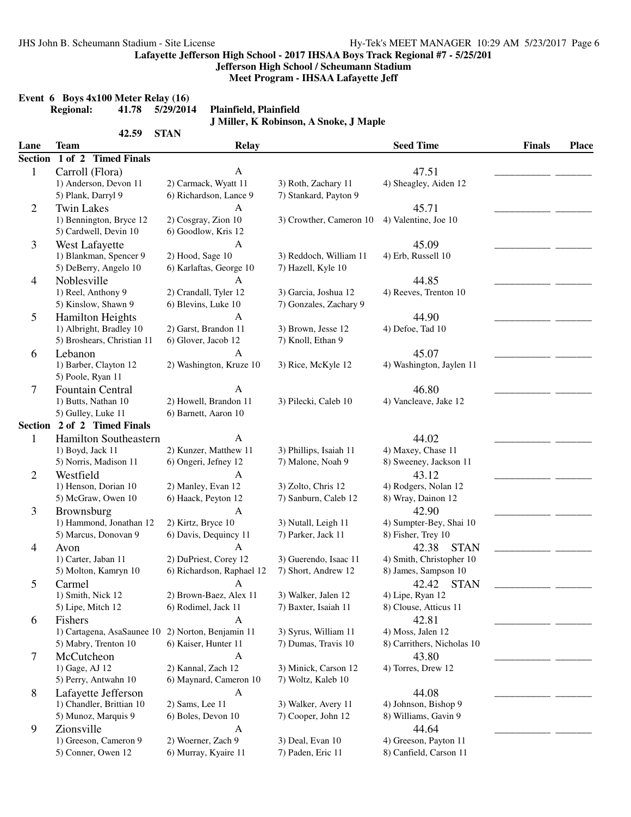**Jefferson High School / Scheumann Stadium**

**Meet Program - IHSAA Lafayette Jeff**

|              | <b>Regional:</b><br>41.78                         | 5/29/2014<br>Plainfield, Plainfield  | J Miller, K Robinson, A Snoke, J Maple |                                |               |              |
|--------------|---------------------------------------------------|--------------------------------------|----------------------------------------|--------------------------------|---------------|--------------|
| Lane         | 42.59<br><b>Team</b>                              | <b>STAN</b><br><b>Relay</b>          |                                        | <b>Seed Time</b>               | <b>Finals</b> | <b>Place</b> |
|              | Section 1 of 2 Timed Finals                       |                                      |                                        |                                |               |              |
|              |                                                   |                                      |                                        |                                |               |              |
| $\mathbf{1}$ | Carroll (Flora)<br>1) Anderson, Devon 11          | $\mathbf{A}$<br>2) Carmack, Wyatt 11 | 3) Roth, Zachary 11                    | 47.51<br>4) Sheagley, Aiden 12 |               |              |
|              | 5) Plank, Darryl 9                                | 6) Richardson, Lance 9               | 7) Stankard, Payton 9                  |                                |               |              |
|              | <b>Twin Lakes</b>                                 | $\mathbf{A}$                         |                                        | 45.71                          |               |              |
| 2            | 1) Bennington, Bryce 12                           | 2) Cosgray, Zion 10                  | 3) Crowther, Cameron 10                | 4) Valentine, Joe 10           |               |              |
|              | 5) Cardwell, Devin 10                             | 6) Goodlow, Kris 12                  |                                        |                                |               |              |
| 3            | West Lafayette                                    | $\boldsymbol{A}$                     |                                        | 45.09                          |               |              |
|              | 1) Blankman, Spencer 9                            | 2) Hood, Sage 10                     | 3) Reddoch, William 11                 | 4) Erb, Russell 10             |               |              |
|              | 5) DeBerry, Angelo 10                             | 6) Karlaftas, George 10              | 7) Hazell, Kyle 10                     |                                |               |              |
| 4            | Noblesville                                       | $\mathbf{A}$                         |                                        | 44.85                          |               |              |
|              | 1) Reel, Anthony 9                                | 2) Crandall, Tyler 12                | 3) Garcia, Joshua 12                   | 4) Reeves, Trenton 10          |               |              |
|              | 5) Kinslow, Shawn 9                               | 6) Blevins, Luke 10                  | 7) Gonzales, Zachary 9                 |                                |               |              |
| 5            | <b>Hamilton Heights</b>                           | A                                    |                                        | 44.90                          |               |              |
|              | 1) Albright, Bradley 10                           | 2) Garst, Brandon 11                 | 3) Brown, Jesse 12                     | 4) Defoe, Tad 10               |               |              |
|              | 5) Broshears, Christian 11                        | 6) Glover, Jacob 12                  | 7) Knoll, Ethan 9                      |                                |               |              |
| 6            | Lebanon                                           | A                                    |                                        | 45.07                          |               |              |
|              | 1) Barber, Clayton 12                             | 2) Washington, Kruze 10              | 3) Rice, McKyle 12                     | 4) Washington, Jaylen 11       |               |              |
|              | 5) Poole, Ryan 11                                 |                                      |                                        |                                |               |              |
| 7            | Fountain Central                                  | $\mathsf{A}$                         |                                        | 46.80                          |               |              |
|              | 1) Butts, Nathan 10                               | 2) Howell, Brandon 11                | 3) Pilecki, Caleb 10                   | 4) Vancleave, Jake 12          |               |              |
|              | 5) Gulley, Luke 11                                | 6) Barnett, Aaron 10                 |                                        |                                |               |              |
|              | Section 2 of 2 Timed Finals                       |                                      |                                        |                                |               |              |
| 1            | Hamilton Southeastern                             | $\mathbf{A}$                         |                                        | 44.02                          |               |              |
|              | 1) Boyd, Jack 11                                  | 2) Kunzer, Matthew 11                | 3) Phillips, Isaiah 11                 | 4) Maxey, Chase 11             |               |              |
|              | 5) Norris, Madison 11                             | 6) Ongeri, Jefney 12                 | 7) Malone, Noah 9                      | 8) Sweeney, Jackson 11         |               |              |
| 2            | Westfield                                         | $\mathbf{A}$                         |                                        | 43.12                          |               |              |
|              | 1) Henson, Dorian 10                              | 2) Manley, Evan 12                   | 3) Zolto, Chris 12                     | 4) Rodgers, Nolan 12           |               |              |
|              | 5) McGraw, Owen 10                                | 6) Haack, Peyton 12                  | 7) Sanburn, Caleb 12                   | 8) Wray, Dainon 12             |               |              |
| 3            | Brownsburg                                        | $\mathbf{A}$                         |                                        | 42.90                          |               |              |
|              | 1) Hammond, Jonathan 12                           | 2) Kirtz, Bryce 10                   | 3) Nutall, Leigh 11                    | 4) Sumpter-Bey, Shai 10        |               |              |
|              | 5) Marcus, Donovan 9                              | 6) Davis, Dequincy 11                | 7) Parker, Jack 11                     | 8) Fisher, Trey 10             |               |              |
| 4            | Avon                                              | A                                    |                                        | 42.38<br><b>STAN</b>           |               |              |
|              | 1) Carter, Jaban 11                               | 2) DuPriest, Corey 12                | 3) Guerendo, Isaac 11                  | 4) Smith, Christopher 10       |               |              |
|              | 5) Molton, Kamryn 10                              | 6) Richardson, Raphael 12            | 7) Short, Andrew 12                    | 8) James, Sampson 10           |               |              |
| 5            | Carmel                                            | A                                    |                                        | <b>STAN</b><br>42.42           |               |              |
|              | 1) Smith, Nick 12                                 | 2) Brown-Baez, Alex 11               | 3) Walker, Jalen 12                    | 4) Lipe, Ryan 12               |               |              |
|              | 5) Lipe, Mitch 12                                 | 6) Rodimel, Jack 11                  | 7) Baxter, Isaiah 11                   | 8) Clouse, Atticus 11          |               |              |
| 6            | Fishers                                           | A                                    |                                        | 42.81                          |               |              |
|              | 1) Cartagena, AsaSaunee 10 2) Norton, Benjamin 11 |                                      | 3) Syrus, William 11                   | 4) Moss, Jalen 12              |               |              |
|              | 5) Mabry, Trenton 10                              | 6) Kaiser, Hunter 11                 | 7) Dumas, Travis 10                    | 8) Carrithers, Nicholas 10     |               |              |
| 7            | McCutcheon                                        | $\mathbf{A}$                         |                                        | 43.80                          |               |              |
|              | 1) Gage, AJ 12                                    | 2) Kannal, Zach 12                   | 3) Minick, Carson 12                   | 4) Torres, Drew 12             |               |              |
|              | 5) Perry, Antwahn 10                              | 6) Maynard, Cameron 10               | 7) Woltz, Kaleb 10                     |                                |               |              |
| 8            | Lafayette Jefferson                               | $\mathbf{A}$                         |                                        | 44.08                          |               |              |
|              | 1) Chandler, Brittian 10                          | 2) Sams, Lee 11                      | 3) Walker, Avery 11                    | 4) Johnson, Bishop 9           |               |              |
|              | 5) Munoz, Marquis 9                               | 6) Boles, Devon 10                   | 7) Cooper, John 12                     | 8) Williams, Gavin 9           |               |              |
| 9            | Zionsville                                        | A                                    |                                        | 44.64                          |               |              |
|              | 1) Greeson, Cameron 9                             | 2) Woerner, Zach 9                   | 3) Deal, Evan 10                       | 4) Greeson, Payton 11          |               |              |
|              | 5) Conner, Owen 12                                | 6) Murray, Kyaire 11                 | 7) Paden, Eric 11                      | 8) Canfield, Carson 11         |               |              |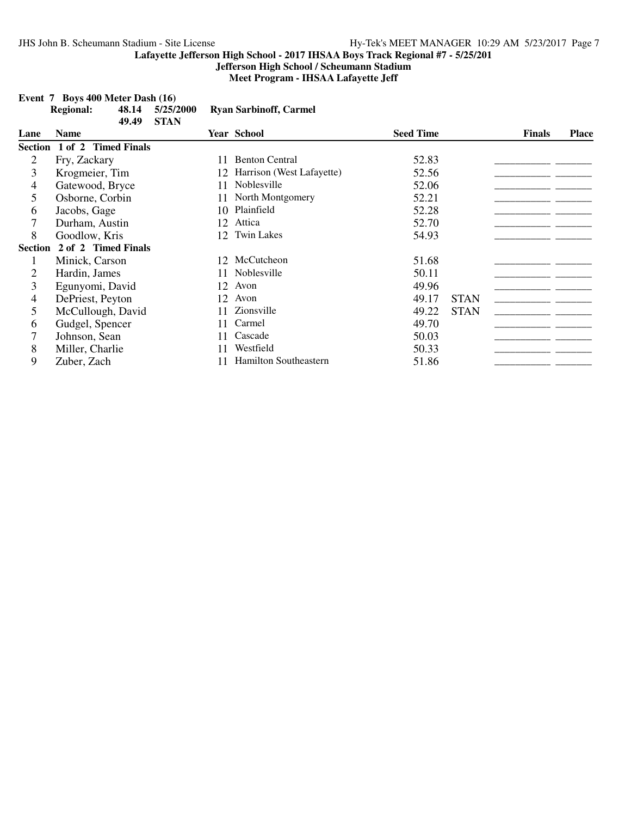**Jefferson High School / Scheumann Stadium Meet Program - IHSAA Lafayette Jeff**

|  | Event $7$ Boys 400 Meter Dash $(16)$ |
|--|--------------------------------------|
|--|--------------------------------------|

|                | <b>Regional:</b>    | 48.14 | 5/25/2000   |                 | <b>Ryan Sarbinoff, Carmel</b> |                  |             |               |              |
|----------------|---------------------|-------|-------------|-----------------|-------------------------------|------------------|-------------|---------------|--------------|
| Lane           | <b>Name</b>         | 49.49 | <b>STAN</b> |                 | <b>Year School</b>            | <b>Seed Time</b> |             | <b>Finals</b> | <b>Place</b> |
| <b>Section</b> | 1 of 2 Timed Finals |       |             |                 |                               |                  |             |               |              |
| 2              | Fry, Zackary        |       |             | 11              | <b>Benton Central</b>         | 52.83            |             |               |              |
| 3              | Krogmeier, Tim      |       |             | 12              | Harrison (West Lafayette)     | 52.56            |             |               |              |
| 4              | Gatewood, Bryce     |       |             | 11              | Noblesville                   | 52.06            |             |               |              |
| 5              | Osborne, Corbin     |       |             |                 | North Montgomery              | 52.21            |             |               |              |
| 6              | Jacobs, Gage        |       |             | 10              | Plainfield                    | 52.28            |             |               |              |
| 7              | Durham, Austin      |       |             | 12              | Attica                        | 52.70            |             |               |              |
| 8              | Goodlow, Kris       |       |             | 12 <sub>1</sub> | <b>Twin Lakes</b>             | 54.93            |             |               |              |
| <b>Section</b> | 2 of 2 Timed Finals |       |             |                 |                               |                  |             |               |              |
| 1              | Minick, Carson      |       |             |                 | 12 McCutcheon                 | 51.68            |             |               |              |
| 2              | Hardin, James       |       |             | 11.             | Noblesville                   | 50.11            |             |               |              |
| 3              | Egunyomi, David     |       |             | 12              | Avon                          | 49.96            |             |               |              |
| 4              | DePriest, Peyton    |       |             | 12              | Avon                          | 49.17            | <b>STAN</b> |               |              |
| 5              | McCullough, David   |       |             |                 | Zionsville                    | 49.22            | <b>STAN</b> |               |              |
| 6              | Gudgel, Spencer     |       |             | 11              | Carmel                        | 49.70            |             |               |              |
| 7              | Johnson, Sean       |       |             |                 | Cascade                       | 50.03            |             |               |              |
| 8              | Miller, Charlie     |       |             | 11              | Westfield                     | 50.33            |             |               |              |
| 9              | Zuber, Zach         |       |             |                 | <b>Hamilton Southeastern</b>  | 51.86            |             |               |              |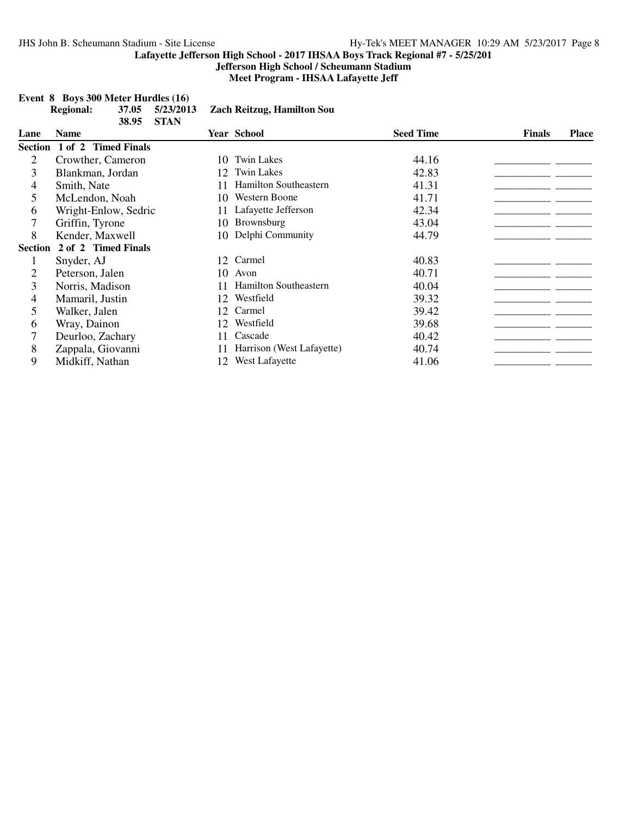**Jefferson High School / Scheumann Stadium Meet Program - IHSAA Lafayette Jeff**

|                | Event 8 Boys 300 Meter Hurdles (16)    |                                   |                  |                               |
|----------------|----------------------------------------|-----------------------------------|------------------|-------------------------------|
|                | <b>Regional:</b><br>37.05<br>5/23/2013 | <b>Zach Reitzug, Hamilton Sou</b> |                  |                               |
|                | <b>STAN</b><br>38.95                   |                                   |                  |                               |
| Lane           | <b>Name</b>                            | <b>Year School</b>                | <b>Seed Time</b> | <b>Finals</b><br><b>Place</b> |
|                | Section 1 of 2 Timed Finals            |                                   |                  |                               |
| 2              | Crowther, Cameron                      | <b>Twin Lakes</b><br>10.          | 44.16            |                               |
| 3              | Blankman, Jordan                       | <b>Twin Lakes</b><br>12           | 42.83            |                               |
| 4              | Smith, Nate                            | <b>Hamilton Southeastern</b>      | 41.31            |                               |
| 5              | McLendon, Noah                         | <b>Western Boone</b><br>10        | 41.71            |                               |
| 6              | Wright-Enlow, Sedric                   | Lafayette Jefferson<br>11         | 42.34            |                               |
|                | Griffin, Tyrone                        | Brownsburg<br>10-                 | 43.04            |                               |
| 8              | Kender, Maxwell                        | Delphi Community<br>10.           | 44.79            |                               |
| <b>Section</b> | 2 of 2 Timed Finals                    |                                   |                  |                               |
|                | Snyder, AJ                             | 12 Carmel                         | 40.83            |                               |
| 2              | Peterson, Jalen                        | 10<br>Avon                        | 40.71            |                               |
| 3              | Norris, Madison                        | Hamilton Southeastern<br>11       | 40.04            |                               |
| 4              | Mamaril, Justin                        | Westfield<br>12                   | 39.32            |                               |
| 5              | Walker, Jalen                          | Carmel<br>12                      | 39.42            |                               |
| 6              | Wray, Dainon                           | Westfield<br>12 <sub>1</sub>      | 39.68            |                               |
|                | Deurloo, Zachary                       | Cascade<br>11                     | 40.42            |                               |
| 8              | Zappala, Giovanni                      | Harrison (West Lafayette)<br>11   | 40.74            |                               |
| 9              | Midkiff, Nathan                        | West Lafayette<br>12              | 41.06            |                               |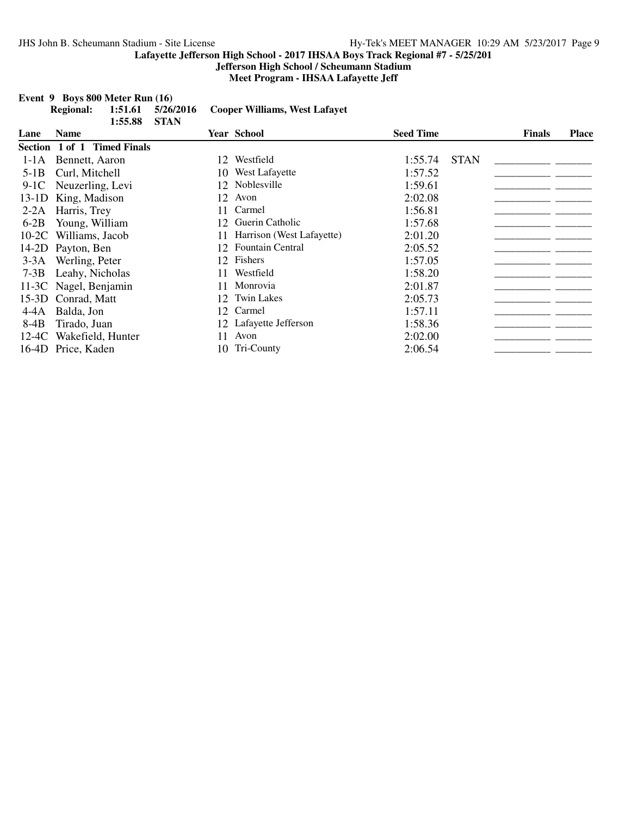**Jefferson High School / Scheumann Stadium**

**Meet Program - IHSAA Lafayette Jeff**

|         | <b>Regional:</b>            | 1:51.61<br>1:55.88 | 5/26/2016<br><b>STAN</b> |    | <b>Cooper Williams, West Lafayet</b> |                  |             |               |              |
|---------|-----------------------------|--------------------|--------------------------|----|--------------------------------------|------------------|-------------|---------------|--------------|
| Lane    | <b>Name</b>                 |                    |                          |    | <b>Year School</b>                   | <b>Seed Time</b> |             | <b>Finals</b> | <b>Place</b> |
|         | Section 1 of 1 Timed Finals |                    |                          |    |                                      |                  |             |               |              |
| $1-1A$  | Bennett, Aaron              |                    |                          | 12 | Westfield                            | 1:55.74          | <b>STAN</b> |               |              |
| $5-1B$  | Curl, Mitchell              |                    |                          | 10 | West Lafayette                       | 1:57.52          |             |               |              |
| $9-1C$  | Neuzerling, Levi            |                    |                          |    | 12 Noblesville                       | 1:59.61          |             |               |              |
| 13-1D   | King, Madison               |                    |                          | 12 | Avon                                 | 2:02.08          |             |               |              |
| $2-2A$  | Harris, Trey                |                    |                          | 11 | Carmel                               | 1:56.81          |             |               |              |
| $6-2B$  | Young, William              |                    |                          | 12 | Guerin Catholic                      | 1:57.68          |             |               |              |
| $10-2C$ | Williams, Jacob             |                    |                          | 11 | Harrison (West Lafayette)            | 2:01.20          |             |               |              |
|         | 14-2D Payton, Ben           |                    |                          | 12 | Fountain Central                     | 2:05.52          |             |               |              |
| $3-3A$  | Werling, Peter              |                    |                          |    | 12 Fishers                           | 1:57.05          |             |               |              |
| $7-3B$  | Leahy, Nicholas             |                    |                          | 11 | Westfield                            | 1:58.20          |             |               |              |
| $11-3C$ | Nagel, Benjamin             |                    |                          | 11 | Monrovia                             | 2:01.87          |             |               |              |
|         | 15-3D Conrad, Matt          |                    |                          |    | 12 Twin Lakes                        | 2:05.73          |             |               |              |
| 4-4A    | Balda, Jon                  |                    |                          |    | 12 Carmel                            | 1:57.11          |             |               |              |
| $8-4B$  | Tirado, Juan                |                    |                          |    | 12 Lafayette Jefferson               | 1:58.36          |             |               |              |
| 12-4C   | Wakefield, Hunter           |                    |                          | 11 | Avon                                 | 2:02.00          |             |               |              |
|         | 16-4D Price, Kaden          |                    |                          |    | 10 Tri-County                        | 2:06.54          |             |               |              |

### **Event 9 Boys 800 Meter Run (16)**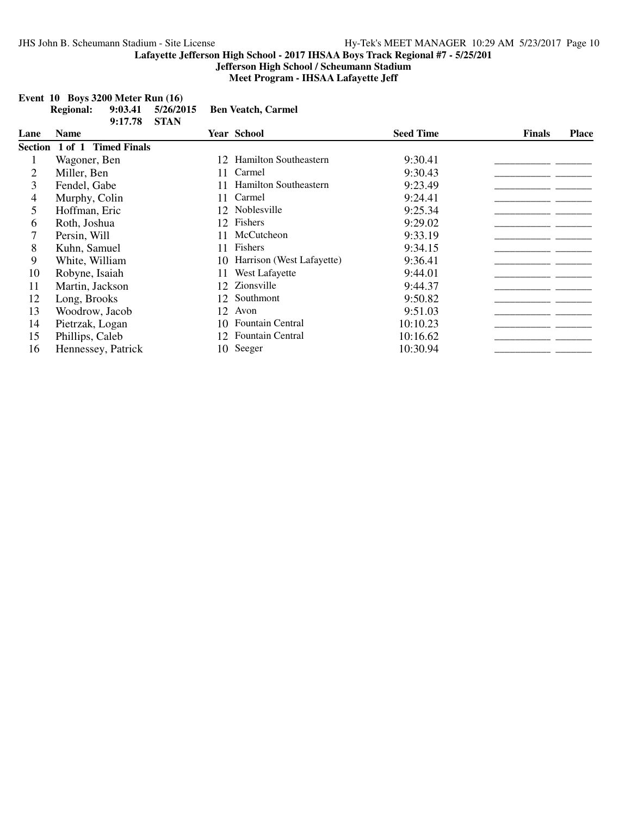**Jefferson High School / Scheumann Stadium**

**Meet Program - IHSAA Lafayette Jeff**

|      | <b>Regional:</b> | 9:03.41<br>9:17.78  | 5/26/2015<br><b>STAN</b> |    | <b>Ben Veatch, Carmel</b>    |                  |               |              |
|------|------------------|---------------------|--------------------------|----|------------------------------|------------------|---------------|--------------|
| Lane | Name             |                     |                          |    | <b>Year School</b>           | <b>Seed Time</b> | <b>Finals</b> | <b>Place</b> |
|      | Section 1 of 1   | <b>Timed Finals</b> |                          |    |                              |                  |               |              |
|      | Wagoner, Ben     |                     |                          | 12 | <b>Hamilton Southeastern</b> | 9:30.41          |               |              |
| 2    | Miller, Ben      |                     |                          | 11 | Carmel                       | 9:30.43          |               |              |
| 3    | Fendel, Gabe     |                     |                          | 11 | <b>Hamilton Southeastern</b> | 9:23.49          |               |              |
| 4    | Murphy, Colin    |                     |                          | 11 | Carmel                       | 9:24.41          |               |              |
| 5    | Hoffman, Eric    |                     |                          |    | 12 Noblesville               | 9:25.34          |               |              |
| 6    | Roth, Joshua     |                     |                          | 12 | Fishers                      | 9:29.02          |               |              |
|      | Persin, Will     |                     |                          |    | McCutcheon                   | 9:33.19          |               |              |
| 8    | Kuhn, Samuel     |                     |                          | 11 | <b>Fishers</b>               | 9:34.15          |               |              |
| 9    | White, William   |                     |                          | 10 | Harrison (West Lafayette)    | 9:36.41          |               |              |
| 10   | Robyne, Isaiah   |                     |                          | 11 | West Lafayette               | 9:44.01          |               |              |
| 11   | Martin, Jackson  |                     |                          | 12 | Zionsville                   | 9:44.37          |               |              |
| 12   | Long, Brooks     |                     |                          | 12 | Southmont                    | 9:50.82          |               |              |
| 13   | Woodrow, Jacob   |                     |                          | 12 | Avon                         | 9:51.03          |               |              |
| 14   | Pietrzak, Logan  |                     |                          |    | 10 Fountain Central          | 10:10.23         |               |              |
| 15   | Phillips, Caleb  |                     |                          | 12 | Fountain Central             | 10:16.62         |               |              |
| 16   |                  | Hennessey, Patrick  |                          |    | 10 Seeger                    | 10:30.94         |               |              |

### **Event 10 Boys 3200 Meter Run (16)**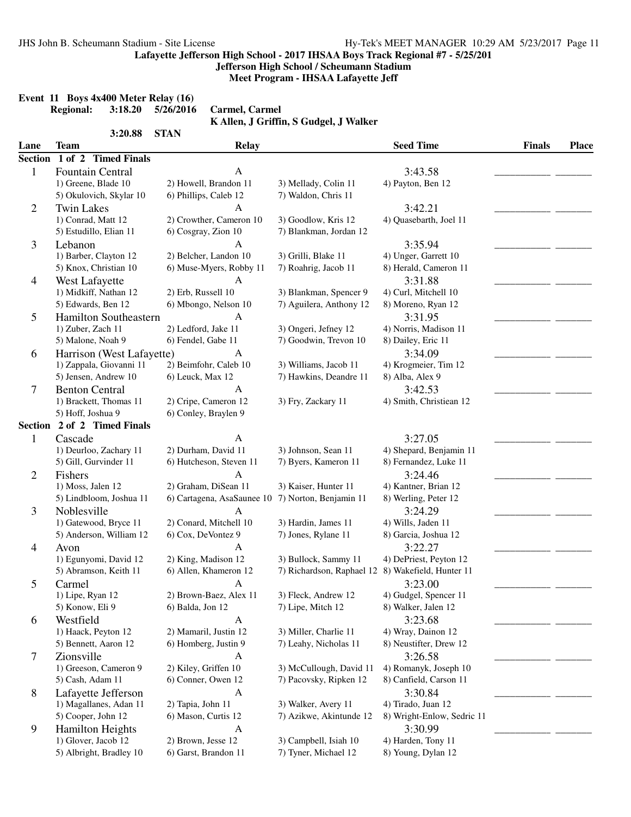**Jefferson High School / Scheumann Stadium**

**Meet Program - IHSAA Lafayette Jeff**

|  |                  | Event 11 Boys 4x400 Meter Relay (16) |           |
|--|------------------|--------------------------------------|-----------|
|  | <b>Regional:</b> | 3:18.20                              | 5/26/2016 |

**Regional: 3:18.20 5/26/2016 Carmel, Carmel K Allen, J Griffin, S Gudgel, J Walker**

|                | 3:20.88                     | <b>STAN</b>                |                                                   |                            |               |              |
|----------------|-----------------------------|----------------------------|---------------------------------------------------|----------------------------|---------------|--------------|
| Lane           | Team                        | Relay                      |                                                   | <b>Seed Time</b>           | <b>Finals</b> | <b>Place</b> |
| <b>Section</b> | 1 of 2 Timed Finals         |                            |                                                   |                            |               |              |
| $\mathbf{1}$   | Fountain Central            | A                          |                                                   | 3:43.58                    |               |              |
|                | 1) Greene, Blade 10         | 2) Howell, Brandon 11      | 3) Mellady, Colin 11                              | 4) Payton, Ben 12          |               |              |
|                | 5) Okulovich, Skylar 10     | 6) Phillips, Caleb 12      | 7) Waldon, Chris 11                               |                            |               |              |
| $\overline{2}$ | <b>Twin Lakes</b>           | A                          |                                                   | 3:42.21                    |               |              |
|                | 1) Conrad, Matt 12          | 2) Crowther, Cameron 10    | 3) Goodlow, Kris 12                               | 4) Quasebarth, Joel 11     |               |              |
|                | 5) Estudillo, Elian 11      | 6) Cosgray, Zion 10        | 7) Blankman, Jordan 12                            |                            |               |              |
| 3              | Lebanon                     | A                          |                                                   | 3:35.94                    |               |              |
|                | 1) Barber, Clayton 12       | 2) Belcher, Landon 10      | 3) Grilli, Blake 11                               | 4) Unger, Garrett 10       |               |              |
|                | 5) Knox, Christian 10       | 6) Muse-Myers, Robby 11    | 7) Roahrig, Jacob 11                              | 8) Herald, Cameron 11      |               |              |
| 4              | West Lafayette              | А                          |                                                   | 3:31.88                    |               |              |
|                | 1) Midkiff, Nathan 12       | 2) Erb, Russell 10         | 3) Blankman, Spencer 9                            | 4) Curl, Mitchell 10       |               |              |
|                | 5) Edwards, Ben 12          | 6) Mbongo, Nelson 10       | 7) Aguilera, Anthony 12                           | 8) Moreno, Ryan 12         |               |              |
| 5              | Hamilton Southeastern       | А                          |                                                   | 3:31.95                    |               |              |
|                | 1) Zuber, Zach 11           | 2) Ledford, Jake 11        | 3) Ongeri, Jefney 12                              | 4) Norris, Madison 11      |               |              |
|                | 5) Malone, Noah 9           | 6) Fendel, Gabe 11         | 7) Goodwin, Trevon 10                             | 8) Dailey, Eric 11         |               |              |
| 6              | Harrison (West Lafayette)   | A                          |                                                   | 3:34.09                    |               |              |
|                | 1) Zappala, Giovanni 11     | 2) Beimfohr, Caleb 10      | 3) Williams, Jacob 11                             | 4) Krogmeier, Tim 12       |               |              |
|                | 5) Jensen, Andrew 10        | 6) Leuck, Max 12           | 7) Hawkins, Deandre 11                            | 8) Alba, Alex 9            |               |              |
| 7              | <b>Benton Central</b>       | $\mathbf{A}$               |                                                   | 3:42.53                    |               |              |
|                | 1) Brackett, Thomas 11      | 2) Cripe, Cameron 12       | 3) Fry, Zackary 11                                | 4) Smith, Christiean 12    |               |              |
|                | 5) Hoff, Joshua 9           | 6) Conley, Braylen 9       |                                                   |                            |               |              |
|                | Section 2 of 2 Timed Finals |                            |                                                   |                            |               |              |
| $\mathbf{1}$   | Cascade                     | $\mathbf{A}$               |                                                   | 3:27.05                    |               |              |
|                | 1) Deurloo, Zachary 11      | 2) Durham, David 11        | 3) Johnson, Sean 11                               | 4) Shepard, Benjamin 11    |               |              |
|                | 5) Gill, Gurvinder 11       | 6) Hutcheson, Steven 11    | 7) Byers, Kameron 11                              | 8) Fernandez, Luke 11      |               |              |
| $\overline{2}$ | Fishers                     | A                          |                                                   | 3:24.46                    |               |              |
|                | 1) Moss, Jalen 12           | 2) Graham, DiSean 11       | 3) Kaiser, Hunter 11                              | 4) Kantner, Brian 12       |               |              |
|                | 5) Lindbloom, Joshua 11     | 6) Cartagena, AsaSaunee 10 | 7) Norton, Benjamin 11                            | 8) Werling, Peter 12       |               |              |
|                |                             |                            |                                                   |                            |               |              |
| 3              | Noblesville                 | Α                          |                                                   | 3:24.29                    |               |              |
|                | 1) Gatewood, Bryce 11       | 2) Conard, Mitchell 10     | 3) Hardin, James 11                               | 4) Wills, Jaden 11         |               |              |
|                | 5) Anderson, William 12     | 6) Cox, DeVontez 9         | 7) Jones, Rylane 11                               | 8) Garcia, Joshua 12       |               |              |
| 4              | Avon                        | A                          |                                                   | 3:22.27                    |               |              |
|                | 1) Egunyomi, David 12       | 2) King, Madison 12        | 3) Bullock, Sammy 11                              | 4) DePriest, Peyton 12     |               |              |
|                | 5) Abramson, Keith 11       | 6) Allen, Khameron 12      | 7) Richardson, Raphael 12 8) Wakefield, Hunter 11 |                            |               |              |
| 5              | Carmel                      | A                          |                                                   | 3:23.00                    |               |              |
|                | 1) Lipe, Ryan 12            | 2) Brown-Baez, Alex 11     | 3) Fleck, Andrew 12                               | 4) Gudgel, Spencer 11      |               |              |
|                | 5) Konow, Eli 9             | 6) Balda, Jon 12           | 7) Lipe, Mitch 12                                 | 8) Walker, Jalen 12        |               |              |
| 6              | Westfield                   | $\mathbf{A}$               |                                                   | 3:23.68                    |               |              |
|                | 1) Haack, Peyton 12         | 2) Mamaril, Justin 12      | 3) Miller, Charlie 11                             | 4) Wray, Dainon 12         |               |              |
|                | 5) Bennett, Aaron 12        | 6) Homberg, Justin 9       | 7) Leahy, Nicholas 11                             | 8) Neustifter, Drew 12     |               |              |
| 7              | Zionsville                  | A                          |                                                   | 3:26.58                    |               |              |
|                | 1) Greeson, Cameron 9       | 2) Kiley, Griffen 10       | 3) McCullough, David 11                           | 4) Romanyk, Joseph 10      |               |              |
|                | 5) Cash, Adam 11            | 6) Conner, Owen 12         | 7) Pacovsky, Ripken 12                            | 8) Canfield, Carson 11     |               |              |
| 8              | Lafayette Jefferson         | $\mathbf{A}$               |                                                   | 3:30.84                    |               |              |
|                | 1) Magallanes, Adan 11      | 2) Tapia, John 11          | 3) Walker, Avery 11                               | 4) Tirado, Juan 12         |               |              |
|                | 5) Cooper, John 12          | 6) Mason, Curtis 12        | 7) Azikwe, Akintunde 12                           | 8) Wright-Enlow, Sedric 11 |               |              |
| 9              | Hamilton Heights            | $\mathbf{A}$               |                                                   | 3:30.99                    |               |              |
|                | 1) Glover, Jacob 12         | 2) Brown, Jesse 12         | 3) Campbell, Isiah 10                             | 4) Harden, Tony 11         |               |              |
|                | 5) Albright, Bradley 10     | 6) Garst, Brandon 11       | 7) Tyner, Michael 12                              | 8) Young, Dylan 12         |               |              |
|                |                             |                            |                                                   |                            |               |              |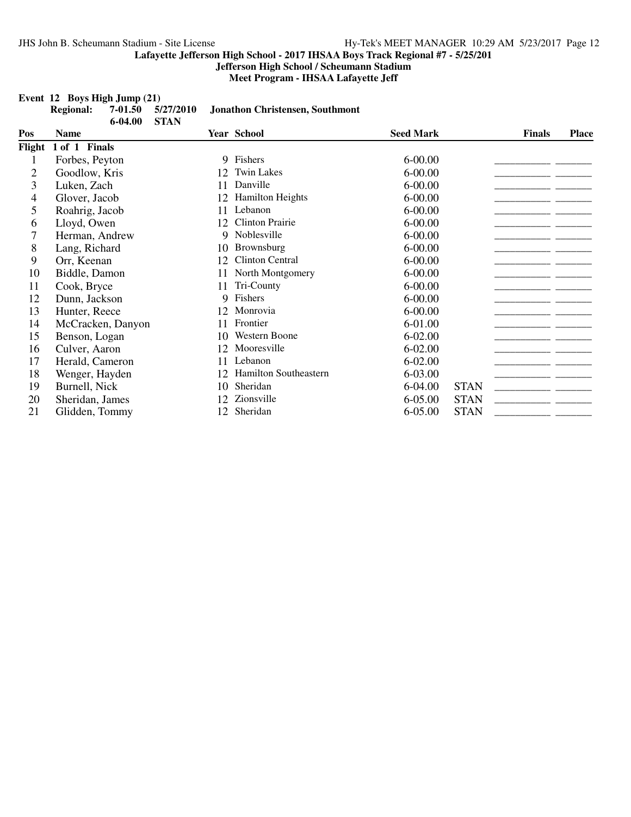**Jefferson High School / Scheumann Stadium**

**Meet Program - IHSAA Lafayette Jeff**

**Regional: 7-01.50 5/27/2010 Jonathon Christensen, Southmont**

# **Event 12 Boys High Jump (21)**<br>**Regional:** 7-01.50 5/27/2010

|                | $6 - 04.00$       | <b>STAN</b> |                         |                  |             |               |              |
|----------------|-------------------|-------------|-------------------------|------------------|-------------|---------------|--------------|
| Pos            | <b>Name</b>       |             | <b>Year School</b>      | <b>Seed Mark</b> |             | <b>Finals</b> | <b>Place</b> |
| Flight         | 1 of 1 Finals     |             |                         |                  |             |               |              |
| 1              | Forbes, Peyton    |             | 9 Fishers               | $6 - 00.00$      |             |               |              |
| $\overline{2}$ | Goodlow, Kris     | 12          | <b>Twin Lakes</b>       | $6 - 00.00$      |             |               |              |
| 3              | Luken, Zach       | 11          | Danville                | $6 - 00.00$      |             |               |              |
| 4              | Glover, Jacob     | 12          | <b>Hamilton Heights</b> | $6 - 00.00$      |             |               |              |
| 5              | Roahrig, Jacob    | 11          | Lebanon                 | $6 - 00.00$      |             |               |              |
| 6              | Lloyd, Owen       | 12          | <b>Clinton Prairie</b>  | $6 - 00.00$      |             |               |              |
| 7              | Herman, Andrew    | 9           | Noblesville             | $6 - 00.00$      |             |               |              |
| 8              | Lang, Richard     | 10          | Brownsburg              | $6 - 00.00$      |             |               |              |
| 9              | Orr, Keenan       | 12          | Clinton Central         | $6 - 00.00$      |             |               |              |
| 10             | Biddle, Damon     | 11          | North Montgomery        | $6 - 00.00$      |             |               |              |
| 11             | Cook, Bryce       | 11          | Tri-County              | $6 - 00.00$      |             |               |              |
| 12             | Dunn, Jackson     | 9.          | Fishers                 | $6 - 00.00$      |             |               |              |
| 13             | Hunter, Reece     | 12          | Monrovia                | $6 - 00.00$      |             |               |              |
| 14             | McCracken, Danyon | 11          | Frontier                | 6-01.00          |             |               |              |
| 15             | Benson, Logan     | 10          | Western Boone           | 6-02.00          |             |               |              |
| 16             | Culver, Aaron     | 12          | Mooresville             | $6 - 02.00$      |             |               |              |
| 17             | Herald, Cameron   | 11          | Lebanon                 | $6 - 02.00$      |             |               |              |
| 18             | Wenger, Hayden    | 12          | Hamilton Southeastern   | 6-03.00          |             |               |              |
| 19             | Burnell, Nick     | 10          | Sheridan                | 6-04.00          | <b>STAN</b> |               |              |
| 20             | Sheridan, James   | 12          | Zionsville              | 6-05.00          | <b>STAN</b> |               |              |
| 21             | Glidden, Tommy    | 12          | Sheridan                | 6-05.00          | <b>STAN</b> |               |              |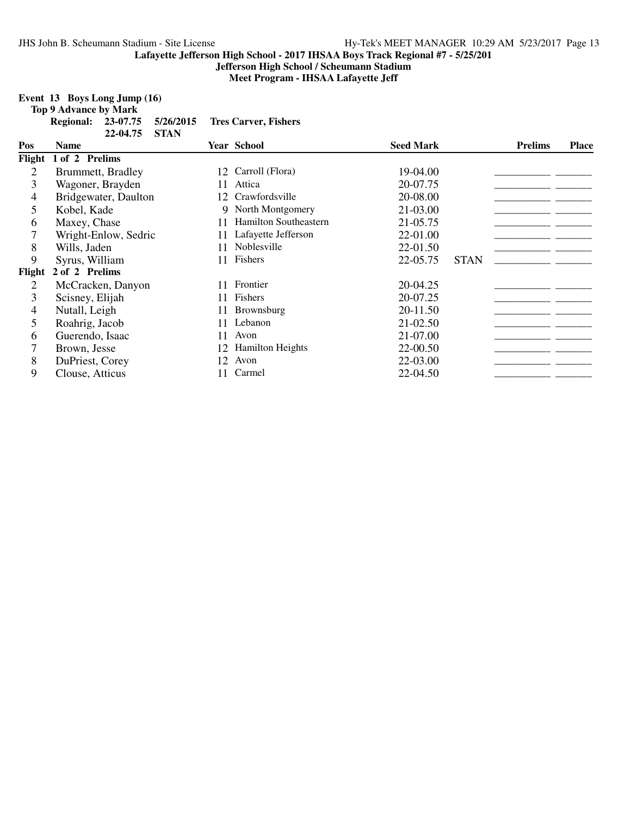**Jefferson High School / Scheumann Stadium**

**Meet Program - IHSAA Lafayette Jeff**

# **Event 13 Boys Long Jump (16)**

**Top 9 Advance by Mark**

|               | Regional: 23-07.75 5/26/2015 Tres Carver, Fishers |
|---------------|---------------------------------------------------|
| 22-04.75 STAN |                                                   |

| Pos            | <b>Name</b>          |    | <b>Year School</b>           | <b>Seed Mark</b> |             | <b>Prelims</b> | <b>Place</b> |
|----------------|----------------------|----|------------------------------|------------------|-------------|----------------|--------------|
| Flight         | 1 of 2 Prelims       |    |                              |                  |             |                |              |
| 2              | Brummett, Bradley    | 12 | Carroll (Flora)              | 19-04.00         |             |                |              |
| 3              | Wagoner, Brayden     | 11 | Attica                       | 20-07.75         |             |                |              |
| 4              | Bridgewater, Daulton | 12 | Crawfordsville               | 20-08.00         |             |                |              |
| 5              | Kobel, Kade          | 9  | North Montgomery             | 21-03.00         |             |                |              |
| 6              | Maxey, Chase         | 11 | <b>Hamilton Southeastern</b> | 21-05.75         |             |                |              |
|                | Wright-Enlow, Sedric | 11 | Lafayette Jefferson          | 22-01.00         |             |                |              |
| 8              | Wills, Jaden         | 11 | Noblesville                  | 22-01.50         |             |                |              |
| 9              | Syrus, William       | 11 | Fishers                      | 22-05.75         | <b>STAN</b> |                |              |
| Flight         | 2 of 2 Prelims       |    |                              |                  |             |                |              |
| 2              | McCracken, Danyon    | 11 | Frontier                     | 20-04.25         |             |                |              |
| $\overline{3}$ | Scisney, Elijah      | 11 | Fishers                      | 20-07.25         |             |                |              |
| 4              | Nutall, Leigh        | 11 | <b>Brownsburg</b>            | 20-11.50         |             |                |              |
| 5              | Roahrig, Jacob       | 11 | Lebanon                      | 21-02.50         |             |                |              |
| 6              | Guerendo, Isaac      | 11 | Avon                         | 21-07.00         |             |                |              |
| 7              | Brown, Jesse         | 12 | <b>Hamilton Heights</b>      | 22-00.50         |             |                |              |
| 8              | DuPriest, Corey      | 12 | Avon                         | 22-03.00         |             |                |              |
| 9              | Clouse, Atticus      | 11 | Carmel                       | 22-04.50         |             |                |              |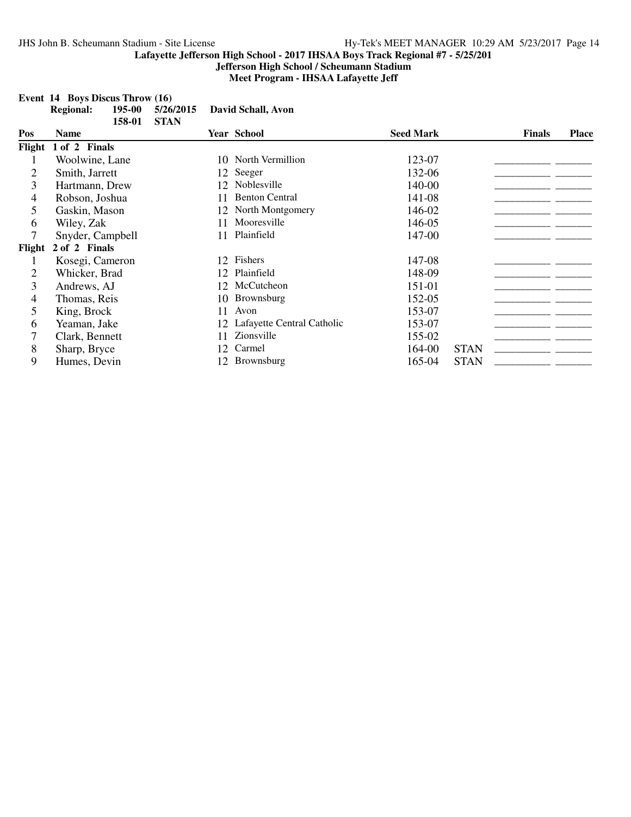**Jefferson High School / Scheumann Stadium Meet Program - IHSAA Lafayette Jeff**

**Event 14 Boys Discus Throw (16)**

|        | <b>Regional:</b> | 195-00 | 5/26/2015   |    | David Schall, Avon         |                  |             |               |              |
|--------|------------------|--------|-------------|----|----------------------------|------------------|-------------|---------------|--------------|
| Pos    | <b>Name</b>      | 158-01 | <b>STAN</b> |    | <b>Year School</b>         | <b>Seed Mark</b> |             | <b>Finals</b> | <b>Place</b> |
| Flight | 1 of 2 Finals    |        |             |    |                            |                  |             |               |              |
|        | Woolwine, Lane   |        |             |    | 10 North Vermillion        | 123-07           |             |               |              |
| 2      | Smith, Jarrett   |        |             |    | 12 Seeger                  | 132-06           |             |               |              |
| 3      | Hartmann, Drew   |        |             | 12 | Noblesville                | 140-00           |             |               |              |
| 4      | Robson, Joshua   |        |             | 11 | <b>Benton Central</b>      | 141-08           |             |               |              |
| 5      | Gaskin, Mason    |        |             | 12 | North Montgomery           | 146-02           |             |               |              |
| 6      | Wiley, Zak       |        |             | 11 | Mooresville                | 146-05           |             |               |              |
| 7      | Snyder, Campbell |        |             | 11 | Plainfield                 | 147-00           |             |               |              |
| Flight | 2 of 2 Finals    |        |             |    |                            |                  |             |               |              |
|        | Kosegi, Cameron  |        |             | 12 | Fishers                    | 147-08           |             |               |              |
| 2      | Whicker, Brad    |        |             | 12 | Plainfield                 | 148-09           |             |               |              |
| 3      | Andrews, AJ      |        |             | 12 | McCutcheon                 | 151-01           |             |               |              |
| 4      | Thomas, Reis     |        |             | 10 | Brownsburg                 | 152-05           |             |               |              |
| 5      | King, Brock      |        |             | 11 | Avon                       | 153-07           |             |               |              |
| 6      | Yeaman, Jake     |        |             | 12 | Lafayette Central Catholic | 153-07           |             |               |              |
| 7      | Clark, Bennett   |        |             | 11 | Zionsville                 | 155-02           |             |               |              |
| 8      | Sharp, Bryce     |        |             | 12 | Carmel                     | 164-00           | <b>STAN</b> |               |              |
| 9      | Humes, Devin     |        |             |    | <b>Brownsburg</b>          | 165-04           | <b>STAN</b> |               |              |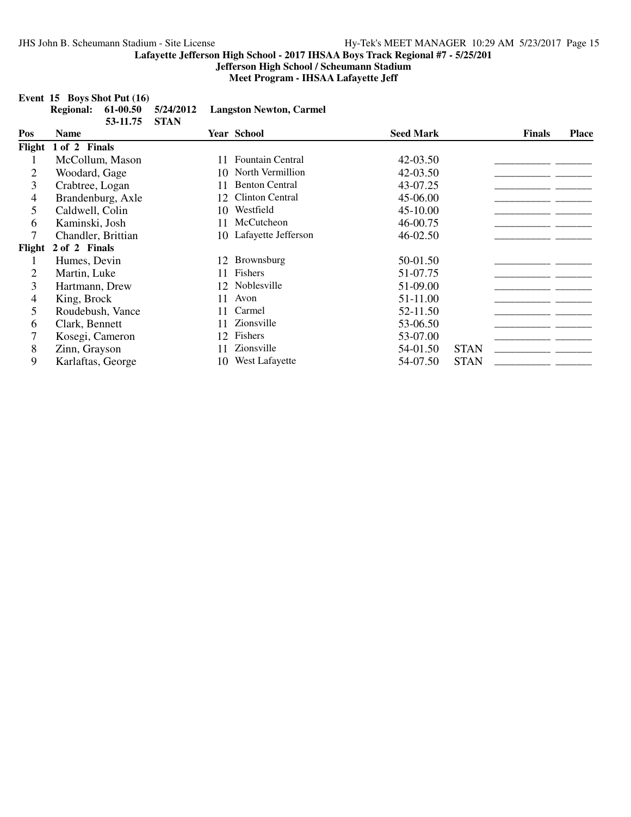**Jefferson High School / Scheumann Stadium Meet Program - IHSAA Lafayette Jeff**

## **Event 15 Boys Shot Put (16)**

|  |               | Regional: 61-00.50 5/24/2012 Langston Newton, Carmel |
|--|---------------|------------------------------------------------------|
|  | 53-11.75 STAN |                                                      |

| Pos    | Name                 |    | <b>Year School</b>      | <b>Seed Mark</b> |             | <b>Finals</b> | <b>Place</b> |
|--------|----------------------|----|-------------------------|------------------|-------------|---------------|--------------|
|        | Flight 1 of 2 Finals |    |                         |                  |             |               |              |
|        | McCollum, Mason      | 11 | <b>Fountain Central</b> | 42-03.50         |             |               |              |
| 2      | Woodard, Gage        | 10 | North Vermillion        | 42-03.50         |             |               |              |
| 3      | Crabtree, Logan      | 11 | <b>Benton Central</b>   | 43-07.25         |             |               |              |
| 4      | Brandenburg, Axle    | 12 | <b>Clinton Central</b>  | 45-06.00         |             |               |              |
| 5      | Caldwell, Colin      | 10 | Westfield               | 45-10.00         |             |               |              |
| 6      | Kaminski, Josh       | 11 | McCutcheon              | 46-00.75         |             |               |              |
|        | Chandler, Brittian   |    | 10 Lafayette Jefferson  | 46-02.50         |             |               |              |
| Flight | 2 of 2 Finals        |    |                         |                  |             |               |              |
|        | Humes, Devin         | 12 | <b>Brownsburg</b>       | 50-01.50         |             |               |              |
| 2      | Martin, Luke         | 11 | Fishers                 | 51-07.75         |             |               |              |
| 3      | Hartmann, Drew       |    | 12 Noblesville          | 51-09.00         |             |               |              |
| 4      | King, Brock          | 11 | Avon                    | 51-11.00         |             |               |              |
| 5      | Roudebush, Vance     | 11 | Carmel                  | 52-11.50         |             |               |              |
| 6      | Clark, Bennett       | 11 | Zionsville              | 53-06.50         |             |               |              |
|        | Kosegi, Cameron      | 12 | Fishers                 | 53-07.00         |             |               |              |
| 8      | Zinn, Grayson        | 11 | Zionsville              | 54-01.50         | <b>STAN</b> |               |              |
| 9      | Karlaftas, George    | 10 | West Lafayette          | 54-07.50         | <b>STAN</b> |               |              |